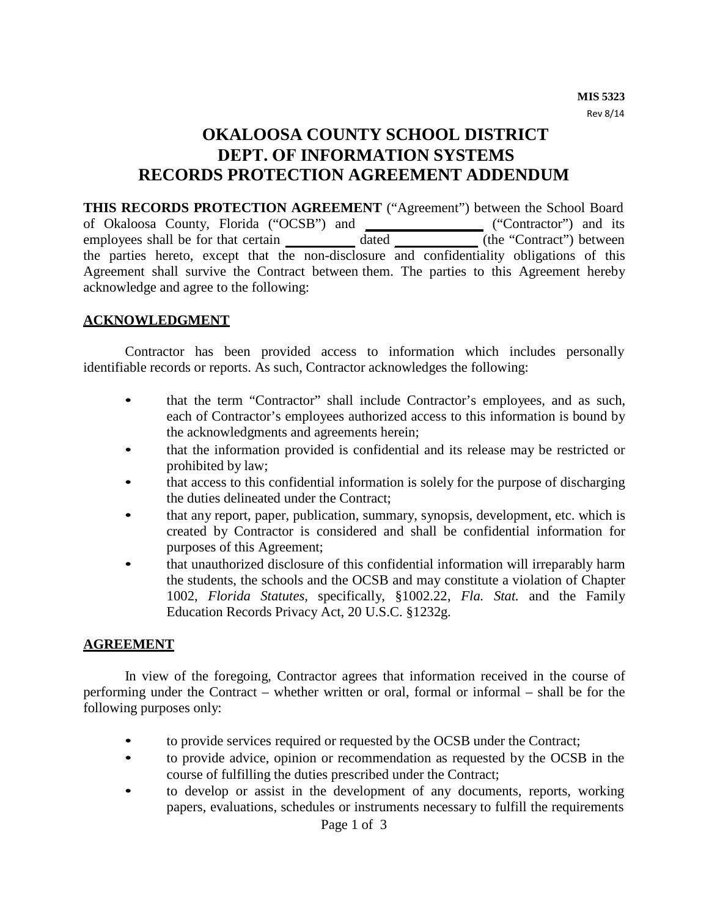# **OKALOOSA COUNTY SCHOOL DISTRICT DEPT. OF INFORMATION SYSTEMS RECORDS PROTECTION AGREEMENT ADDENDUM**

**THIS RECORDS PROTECTION AGREEMENT** ("Agreement") between the School Board of Okaloosa County, Florida ("OCSB") and ("Contractor") and its employees shall be for that certain dated (the "Contract") between the parties hereto, except that the non-disclosure and confidentiality obligations of this Agreement shall survive the Contract between them. The parties to this Agreement hereby acknowledge and agree to the following:

#### **ACKNOWLEDGMENT**

Contractor has been provided access to information which includes personally identifiable records or reports. As such, Contractor acknowledges the following:

- that the term "Contractor" shall include Contractor's employees, and as such, each of Contractor's employees authorized access to this information is bound by the acknowledgments and agreements herein;
- that the information provided is confidential and its release may be restricted or prohibited by law;
- that access to this confidential information is solely for the purpose of discharging the duties delineated under the Contract;
- that any report, paper, publication, summary, synopsis, development, etc. which is created by Contractor is considered and shall be confidential information for purposes of this Agreement;
- that unauthorized disclosure of this confidential information will irreparably harm the students, the schools and the OCSB and may constitute a violation of Chapter 1002, *Florida Statutes*, specifically, §1002.22, *Fla. Stat.* and the Family Education Records Privacy Act, 20 U.S.C. §1232g.

#### **AGREEMENT**

In view of the foregoing, Contractor agrees that information received in the course of performing under the Contract – whether written or oral, formal or informal – shall be for the following purposes only:

- to provide services required or requested by the OCSB under the Contract;
- to provide advice, opinion or recommendation as requested by the OCSB in the course of fulfilling the duties prescribed under the Contract;
- to develop or assist in the development of any documents, reports, working papers, evaluations, schedules or instruments necessary to fulfill the requirements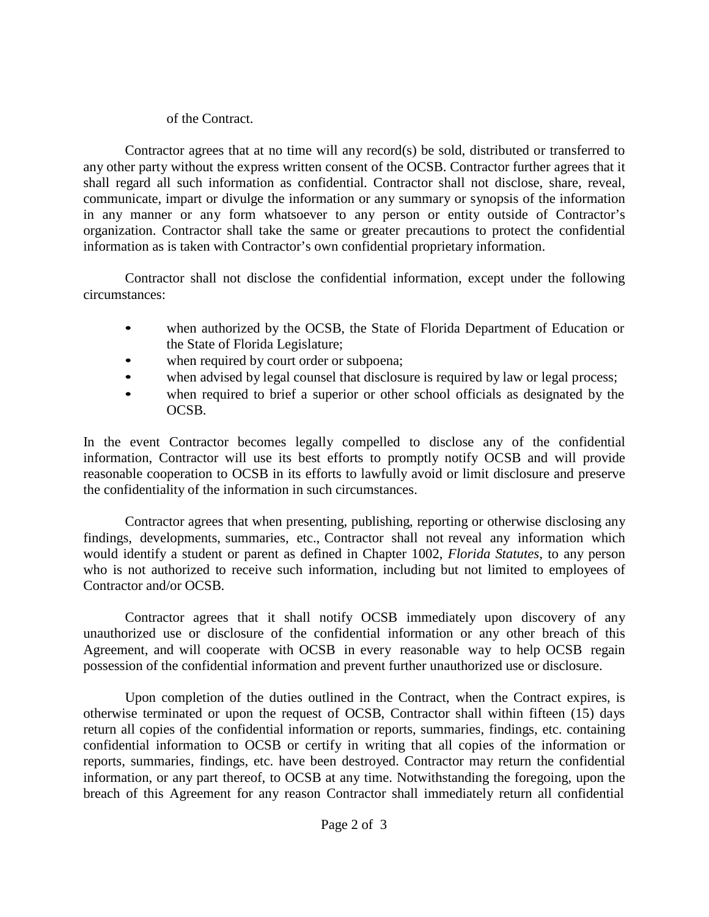### of the Contract.

Contractor agrees that at no time will any record(s) be sold, distributed or transferred to any other party without the express written consent of the OCSB. Contractor further agrees that it shall regard all such information as confidential. Contractor shall not disclose, share, reveal, communicate, impart or divulge the information or any summary or synopsis of the information in any manner or any form whatsoever to any person or entity outside of Contractor's organization. Contractor shall take the same or greater precautions to protect the confidential information as is taken with Contractor's own confidential proprietary information.

Contractor shall not disclose the confidential information, except under the following circumstances:

- when authorized by the OCSB, the State of Florida Department of Education or the State of Florida Legislature;
- when required by court order or subpoena;
- when advised by legal counsel that disclosure is required by law or legal process;
- when required to brief a superior or other school officials as designated by the OCSB.

In the event Contractor becomes legally compelled to disclose any of the confidential information, Contractor will use its best efforts to promptly notify OCSB and will provide reasonable cooperation to OCSB in its efforts to lawfully avoid or limit disclosure and preserve the confidentiality of the information in such circumstances.

Contractor agrees that when presenting, publishing, reporting or otherwise disclosing any findings, developments, summaries, etc., Contractor shall not reveal any information which would identify a student or parent as defined in Chapter 1002, *Florida Statutes*, to any person who is not authorized to receive such information, including but not limited to employees of Contractor and/or OCSB.

Contractor agrees that it shall notify OCSB immediately upon discovery of any unauthorized use or disclosure of the confidential information or any other breach of this Agreement, and will cooperate with OCSB in every reasonable way to help OCSB regain possession of the confidential information and prevent further unauthorized use or disclosure.

Upon completion of the duties outlined in the Contract, when the Contract expires, is otherwise terminated or upon the request of OCSB, Contractor shall within fifteen (15) days return all copies of the confidential information or reports, summaries, findings, etc. containing confidential information to OCSB or certify in writing that all copies of the information or reports, summaries, findings, etc. have been destroyed. Contractor may return the confidential information, or any part thereof, to OCSB at any time. Notwithstanding the foregoing, upon the breach of this Agreement for any reason Contractor shall immediately return all confidential